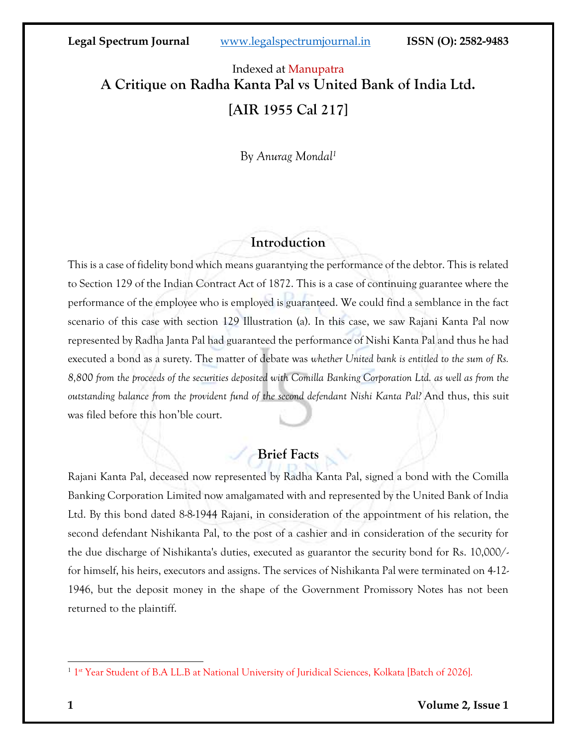# Indexed at Manupatra **A Critique on Radha Kanta Pal vs United Bank of India Ltd. [AIR 1955 Cal 217]**

By *Anurag Mondal<sup>1</sup>*

# **Introduction**

This is a case of fidelity bond which means guarantying the performance of the debtor. This is related to Section 129 of the Indian Contract Act of 1872. This is a case of continuing guarantee where the performance of the employee who is employed is guaranteed. We could find a semblance in the fact scenario of this case with section 129 Illustration (a). In this case, we saw Rajani Kanta Pal now represented by Radha Janta Pal had guaranteed the performance of Nishi Kanta Pal and thus he had executed a bond as a surety. The matter of debate was *whether United bank is entitled to the sum of Rs. 8,800 from the proceeds of the securities deposited with Comilla Banking Corporation Ltd. as well as from the outstanding balance from the provident fund of the second defendant Nishi Kanta Pal?* And thus, this suit was filed before this hon'ble court.

# **Brief Facts**

Rajani Kanta Pal, deceased now represented by Radha Kanta Pal, signed a bond with the Comilla Banking Corporation Limited now amalgamated with and represented by the United Bank of India Ltd. By this bond dated 8-8-1944 Rajani, in consideration of the appointment of his relation, the second defendant Nishikanta Pal, to the post of a cashier and in consideration of the security for the due discharge of Nishikanta's duties, executed as guarantor the security bond for Rs. 10,000/ for himself, his heirs, executors and assigns. The services of Nishikanta Pal were terminated on 4-12- 1946, but the deposit money in the shape of the Government Promissory Notes has not been returned to the plaintiff.

<sup>&</sup>lt;sup>1</sup> 1<sup>st</sup> Year Student of B.A LL.B at National University of Juridical Sciences, Kolkata [Batch of 2026].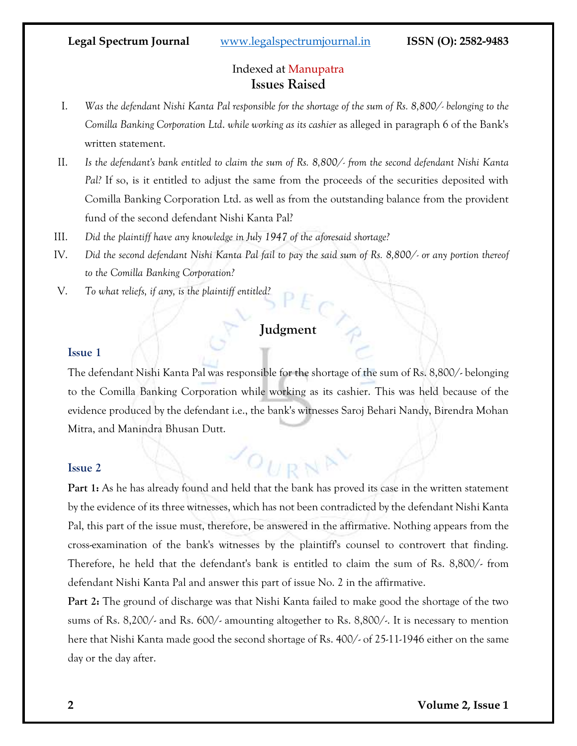### Indexed at Manupatra **Issues Raised**

- I. *Was the defendant Nishi Kanta Pal responsible for the shortage of the sum of Rs. 8,800/- belonging to the Comilla Banking Corporation Ltd*. *while working as its cashier* as alleged in paragraph 6 of the Bank's written statement.
- II. *Is the defendant's bank entitled to claim the sum of Rs. 8,800/- from the second defendant Nishi Kanta Pal?* If so, is it entitled to adjust the same from the proceeds of the securities deposited with Comilla Banking Corporation Ltd. as well as from the outstanding balance from the provident fund of the second defendant Nishi Kanta Pal?
- III. *Did the plaintiff have any knowledge in July 1947 of the aforesaid shortage?*
- IV. *Did the second defendant Nishi Kanta Pal fail to pay the said sum of Rs. 8,800/- or any portion thereof to the Comilla Banking Corporation?*
- V. *To what reliefs, if any, is the plaintiff entitled?*

# **Judgment**

### **Issue 1**

The defendant Nishi Kanta Pal was responsible for the shortage of the sum of Rs. 8,800/- belonging to the Comilla Banking Corporation while working as its cashier. This was held because of the evidence produced by the defendant i.e., the bank's witnesses Saroj Behari Nandy, Birendra Mohan Mitra, and Manindra Bhusan Dutt.

 $O_{URN}$ 

### **Issue 2**

**Part 1:** As he has already found and held that the bank has proved its case in the written statement by the evidence of its three witnesses, which has not been contradicted by the defendant Nishi Kanta Pal, this part of the issue must, therefore, be answered in the affirmative. Nothing appears from the cross-examination of the bank's witnesses by the plaintiff's counsel to controvert that finding. Therefore, he held that the defendant's bank is entitled to claim the sum of Rs. 8,800/- from defendant Nishi Kanta Pal and answer this part of issue No. 2 in the affirmative.

**Part 2:** The ground of discharge was that Nishi Kanta failed to make good the shortage of the two sums of Rs. 8,200/- and Rs. 600/- amounting altogether to Rs. 8,800/-. It is necessary to mention here that Nishi Kanta made good the second shortage of Rs. 400/- of 25-11-1946 either on the same day or the day after.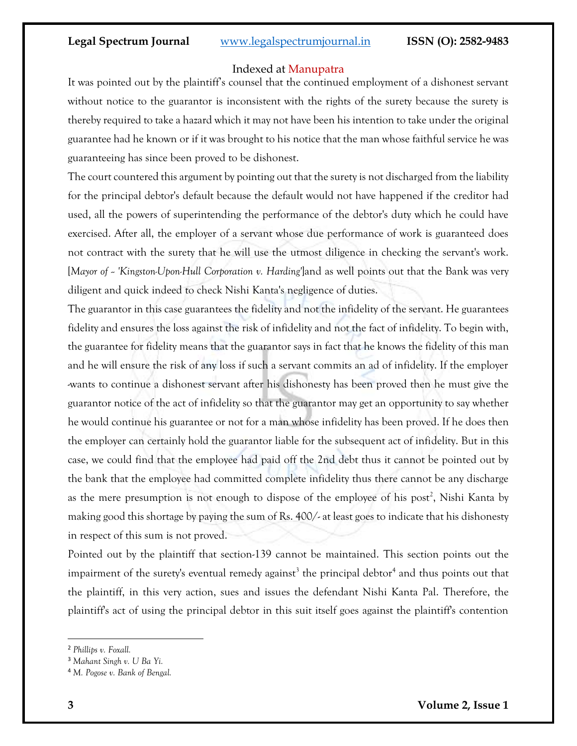### Indexed at Manupatra

It was pointed out by the plaintiff's counsel that the continued employment of a dishonest servant without notice to the guarantor is inconsistent with the rights of the surety because the surety is thereby required to take a hazard which it may not have been his intention to take under the original guarantee had he known or if it was brought to his notice that the man whose faithful service he was guaranteeing has since been proved to be dishonest.

The court countered this argument by pointing out that the surety is not discharged from the liability for the principal debtor's default because the default would not have happened if the creditor had used, all the powers of superintending the performance of the debtor's duty which he could have exercised. After all, the employer of a servant whose due performance of work is guaranteed does not contract with the surety that he will use the utmost diligence in checking the servant's work. [*Mayor of -- 'Kingston-Upon-Hull Corporation v. Harding'*]and as well points out that the Bank was very diligent and quick indeed to check Nishi Kanta's negligence of duties.

The guarantor in this case guarantees the fidelity and not the infidelity of the servant. He guarantees fidelity and ensures the loss against the risk of infidelity and not the fact of infidelity. To begin with, the guarantee for fidelity means that the guarantor says in fact that he knows the fidelity of this man and he will ensure the risk of any loss if such a servant commits an ad of infidelity. If the employer -wants to continue a dishonest servant after his dishonesty has been proved then he must give the guarantor notice of the act of infidelity so that the guarantor may get an opportunity to say whether he would continue his guarantee or not for a man whose infidelity has been proved. If he does then the employer can certainly hold the guarantor liable for the subsequent act of infidelity. But in this case, we could find that the employee had paid off the 2nd debt thus it cannot be pointed out by the bank that the employee had committed complete infidelity thus there cannot be any discharge as the mere presumption is not enough to dispose of the employee of his post<sup>2</sup>, Nishi Kanta by making good this shortage by paying the sum of Rs. 400/- at least goes to indicate that his dishonesty in respect of this sum is not proved.

Pointed out by the plaintiff that section-139 cannot be maintained. This section points out the impairment of the surety's eventual remedy against<sup>3</sup> the principal debtor<sup>4</sup> and thus points out that the plaintiff, in this very action, sues and issues the defendant Nishi Kanta Pal. Therefore, the plaintiff's act of using the principal debtor in this suit itself goes against the plaintiff's contention

<sup>2</sup> *Phillips v. Foxall.*

<sup>3</sup> *Mahant Singh v. U Ba Yi.*

<sup>4</sup> *M. Pogose v. Bank of Bengal.*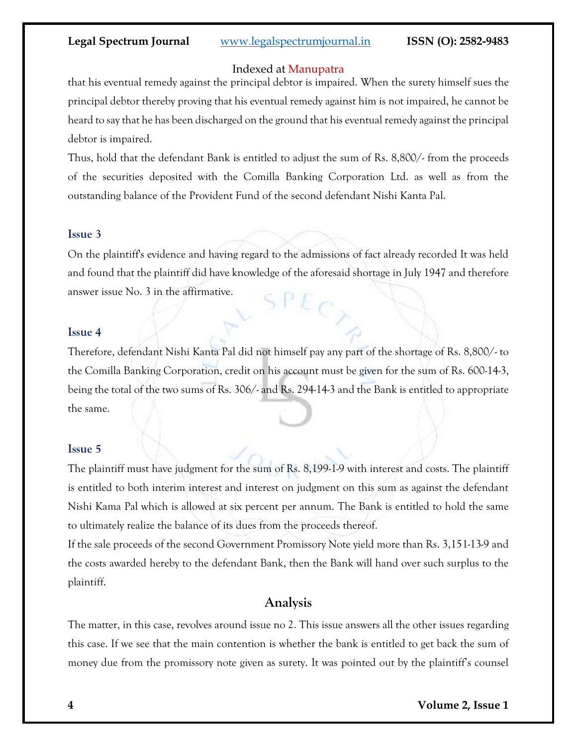### Indexed at Manupatra

that his eventual remedy against the principal debtor is impaired. When the surety himself sues the principal debtor thereby proving that his eventual remedy against him is not impaired, he cannot be heard to say that he has been discharged on the ground that his eventual remedy against the principal debtor is impaired.

Thus, hold that the defendant Bank is entitled to adjust the sum of Rs. 8,800/- from the proceeds of the securities deposited with the Comilla Banking Corporation Ltd. as well as from the outstanding balance of the Provident Fund of the second defendant Nishi Kanta Pal.

### **Issue 3**

On the plaintiff's evidence and having regard to the admissions of fact already recorded It was held and found that the plaintiff did have knowledge of the aforesaid shortage in July 1947 and therefore answer issue No. 3 in the affirmative.  $SPE_C$ 

### **Issue 4**

Therefore, defendant Nishi Kanta Pal did not himself pay any part of the shortage of Rs. 8,800/- to the Comilla Banking Corporation, credit on his account must be given for the sum of Rs. 600-14-3, being the total of the two sums of Rs. 306/- and Rs. 294-14-3 and the Bank is entitled to appropriate the same.

### **Issue 5**

The plaintiff must have judgment for the sum of Rs. 8,199-1-9 with interest and costs. The plaintiff is entitled to both interim interest and interest on judgment on this sum as against the defendant Nishi Kama Pal which is allowed at six percent per annum. The Bank is entitled to hold the same to ultimately realize the balance of its dues from the proceeds thereof.

If the sale proceeds of the second Government Promissory Note yield more than Rs. 3,151-13-9 and the costs awarded hereby to the defendant Bank, then the Bank will hand over such surplus to the plaintiff.

# **Analysis**

The matter, in this case, revolves around issue no 2. This issue answers all the other issues regarding this case. If we see that the main contention is whether the bank is entitled to get back the sum of money due from the promissory note given as surety. It was pointed out by the plaintiff's counsel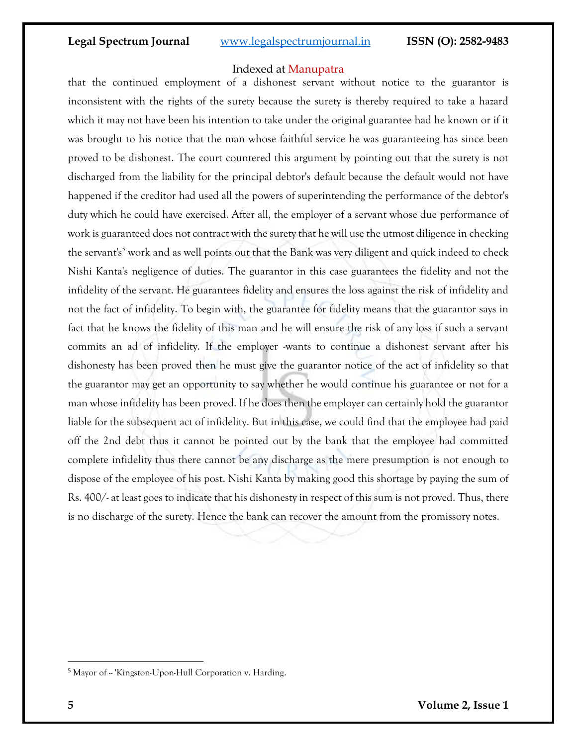### Indexed at Manupatra

that the continued employment of a dishonest servant without notice to the guarantor is inconsistent with the rights of the surety because the surety is thereby required to take a hazard which it may not have been his intention to take under the original guarantee had he known or if it was brought to his notice that the man whose faithful service he was guaranteeing has since been proved to be dishonest. The court countered this argument by pointing out that the surety is not discharged from the liability for the principal debtor's default because the default would not have happened if the creditor had used all the powers of superintending the performance of the debtor's duty which he could have exercised. After all, the employer of a servant whose due performance of work is guaranteed does not contract with the surety that he will use the utmost diligence in checking the servant's<sup>5</sup> work and as well points out that the Bank was very diligent and quick indeed to check Nishi Kanta's negligence of duties. The guarantor in this case guarantees the fidelity and not the infidelity of the servant. He guarantees fidelity and ensures the loss against the risk of infidelity and not the fact of infidelity. To begin with, the guarantee for fidelity means that the guarantor says in fact that he knows the fidelity of this man and he will ensure the risk of any loss if such a servant commits an ad of infidelity. If the employer -wants to continue a dishonest servant after his dishonesty has been proved then he must give the guarantor notice of the act of infidelity so that the guarantor may get an opportunity to say whether he would continue his guarantee or not for a man whose infidelity has been proved. If he does then the employer can certainly hold the guarantor liable for the subsequent act of infidelity. But in this case, we could find that the employee had paid off the 2nd debt thus it cannot be pointed out by the bank that the employee had committed complete infidelity thus there cannot be any discharge as the mere presumption is not enough to dispose of the employee of his post. Nishi Kanta by making good this shortage by paying the sum of Rs. 400/- at least goes to indicate that his dishonesty in respect of this sum is not proved. Thus, there is no discharge of the surety. Hence the bank can recover the amount from the promissory notes.

<sup>&</sup>lt;sup>5</sup> Mayor of ~ 'Kingston-Upon-Hull Corporation v. Harding.